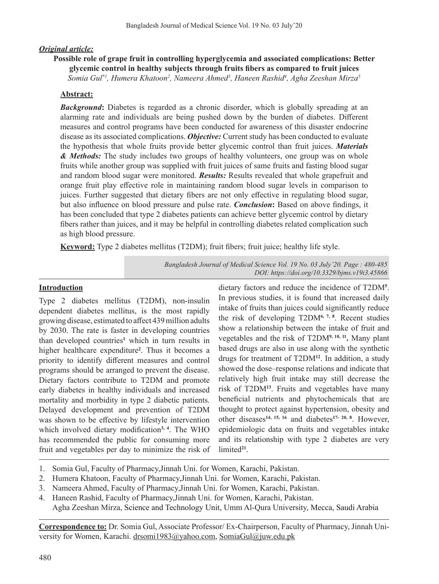# *Original article:*

# **Possible role of grape fruit in controlling hyperglycemia and associated complications: Better glycemic control in healthy subjects through fruits fibers as compared to fruit juices**

 $S$ omia Gul $^*$ !, Humera Khatoon<sup>2</sup>, Nameera Ahmed<sup>3</sup>, Haneen Rashid<sup>4</sup>, Agha Zeeshan Mirza<sup>5</sup>

### **Abstract:**

**Background:** Diabetes is regarded as a chronic disorder, which is globally spreading at an alarming rate and individuals are being pushed down by the burden of diabetes. Different measures and control programs have been conducted for awareness of this disaster endocrine disease as its associated complications. *Objective:* Current study has been conducted to evaluate the hypothesis that whole fruits provide better glycemic control than fruit juices. *Materials & Methods:* The study includes two groups of healthy volunteers, one group was on whole fruits while another group was supplied with fruit juices of same fruits and fasting blood sugar and random blood sugar were monitored. *Results:* Results revealed that whole grapefruit and orange fruit play effective role in maintaining random blood sugar levels in comparison to juices. Further suggested that dietary fibers are not only effective in regulating blood sugar, but also influence on blood pressure and pulse rate. *Conclusion***:** Based on above findings, it has been concluded that type 2 diabetes patients can achieve better glycemic control by dietary fibers rather than juices, and it may be helpful in controlling diabetes related complication such as high blood pressure.

**Keyword:** Type 2 diabetes mellitus (T2DM); fruit fibers; fruit juice; healthy life style.

*Bangladesh Journal of Medical Science Vol. 19 No. 03 July'20. Page : 480-485 DOI: https://doi.org/10.3329/bjms.v19i3.45866*

### **Introduction**

Type 2 diabetes mellitus (T2DM), non-insulin dependent diabetes mellitus, is the most rapidly growing disease, estimated to affect 439million adults by 2030. The rate is faster in developing countries than developed countries**<sup>1</sup>** which in turn results in higher healthcare expenditure**<sup>2</sup>** . Thus it becomes a priority to identify different measures and control programs should be arranged to prevent the disease. Dietary factors contribute to T2DM and promote early diabetes in healthy individuals and increased mortality and morbidity in type 2 diabetic patients. Delayed development and prevention of T2DM was shown to be effective by lifestyle intervention which involved dietary modification**3, 4**. The WHO has recommended the public for consuming more fruit and vegetables per day to minimize the risk of

dietary factors and reduce the incidence of T2DM**<sup>5</sup>** . In previous studies, it is found that increased daily intake of fruits than juices could significantly reduce the risk of developing T2DM**6, 7, 8**. Recent studies show a relationship between the intake of fruit and vegetables and the risk of T2DM**9, 10, 11.** Many plant based drugs are also in use along with the synthetic drugs for treatment of T2DM**<sup>12</sup>**. In addition, a study showed the dose–response relations and indicate that relatively high fruit intake may still decrease the risk of T2DM**<sup>13</sup>**. Fruits and vegetables have many beneficial nutrients and phytochemicals that are thought to protect against hypertension, obesity and other diseases**14, 15, 16** and diabetes**17- 20, 8**. However, epidemiologic data on fruits and vegetables intake and its relationship with type 2 diabetes are very limited**21**.

- 1. Somia Gul, Faculty of Pharmacy,Jinnah Uni. for Women, Karachi, Pakistan.
- 2. Humera Khatoon, Faculty of Pharmacy,Jinnah Uni. for Women, Karachi, Pakistan.
- 3. Nameera Ahmed, Faculty of Pharmacy,Jinnah Uni. for Women, Karachi, Pakistan.
- 4. Haneen Rashid, Faculty of Pharmacy,Jinnah Uni. for Women, Karachi, Pakistan.
- Agha Zeeshan Mirza, Science and Technology Unit, Umm Al-Qura University, Mecca, Saudi Arabia

**Correspondence to:** Dr. Somia Gul, Associate Professor/ Ex-Chairperson, Faculty of Pharmacy, Jinnah University for Women, Karachi. drsomi1983@yahoo.com, SomiaGul@juw.edu.pk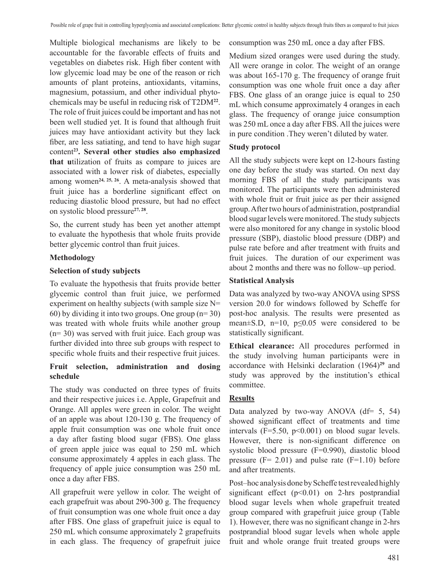Multiple biological mechanisms are likely to be accountable for the favorable effects of fruits and vegetables on diabetes risk. High fiber content with low glycemic load may be one of the reason or rich amounts of plant proteins, antioxidants, vitamins, magnesium, potassium, and other individual phytochemicals may be useful in reducing risk of T2DM**<sup>22</sup>**. The role of fruit juices could be important and has not been well studied yet. It is found that although fruit juices may have antioxidant activity but they lack fiber, are less satiating, and tend to have high sugar content**23. Several other studies also emphasized that u**tilization of fruits as compare to juices are associated with a lower risk of diabetes, especially among women**24, 25, 26**. A meta-analysis showed that fruit juice has a borderline significant effect on reducing diastolic blood pressure, but had no effect on systolic blood pressure**27, 28**.

So, the current study has been yet another attempt to evaluate the hypothesis that whole fruits provide better glycemic control than fruit juices.

# **Methodology**

# **Selection of study subjects**

To evaluate the hypothesis that fruits provide better glycemic control than fruit juice, we performed experiment on healthy subjects (with sample size N= 60) by dividing it into two groups. One group  $(n=30)$ was treated with whole fruits while another group (n= 30) was served with fruit juice. Each group was further divided into three sub groups with respect to specific whole fruits and their respective fruit juices.

# **Fruit selection, administration and dosing schedule**

The study was conducted on three types of fruits and their respective juices i.e. Apple, Grapefruit and Orange. All apples were green in color. The weight of an apple was about 120-130 g. The frequency of apple fruit consumption was one whole fruit once a day after fasting blood sugar (FBS). One glass of green apple juice was equal to 250 mL which consume approximately 4 apples in each glass. The frequency of apple juice consumption was 250 mL once a day after FBS.

All grapefruit were yellow in color. The weight of each grapefruit was about 290-300 g. The frequency of fruit consumption was one whole fruit once a day after FBS. One glass of grapefruit juice is equal to 250 mL which consume approximately 2 grapefruits in each glass. The frequency of grapefruit juice

consumption was 250 mL once a day after FBS.

Medium sized oranges were used during the study. All were orange in color. The weight of an orange was about 165-170 g. The frequency of orange fruit consumption was one whole fruit once a day after FBS. One glass of an orange juice is equal to 250 mL which consume approximately 4 oranges in each glass. The frequency of orange juice consumption was 250 mL once a day after FBS. All the juices were in pure condition .They weren't diluted by water.

# **Study protocol**

All the study subjects were kept on 12-hours fasting one day before the study was started. On next day morning FBS of all the study participants was monitored. The participants were then administered with whole fruit or fruit juice as per their assigned group.Aftertwo hours of administration, postprandial blood sugar levels were monitored. The study subjects were also monitored for any change in systolic blood pressure (SBP), diastolic blood pressure (DBP) and pulse rate before and after treatment with fruits and fruit juices. The duration of our experiment was about 2 months and there was no follow–up period.

### **Statistical Analysis**

Data was analyzed by two-way ANOVA using SPSS version 20.0 for windows followed by Scheffe for post-hoc analysis. The results were presented as mean $\pm$ S.D, n=10, p $\leq$ 0.05 were considered to be statistically significant.

**Ethical clearance:** All procedures performed in the study involving human participants were in accordance with Helsinki declaration (1964)**<sup>29</sup>** and study was approved by the institution's ethical committee.

# **Results**

Data analyzed by two-way ANOVA  $(df= 5, 54)$ showed significant effect of treatments and time intervals ( $F=5.50$ ,  $p<0.001$ ) on blood sugar levels. However, there is non-significant difference on systolic blood pressure (F=0.990), diastolic blood pressure  $(F = 2.01)$  and pulse rate  $(F = 1.10)$  before and after treatments.

Post–hoc analysis done by Scheffe test revealed highly significant effect  $(p<0.01)$  on 2-hrs postprandial blood sugar levels when whole grapefruit treated group compared with grapefruit juice group (Table 1). However, there was no significant change in 2-hrs postprandial blood sugar levels when whole apple fruit and whole orange fruit treated groups were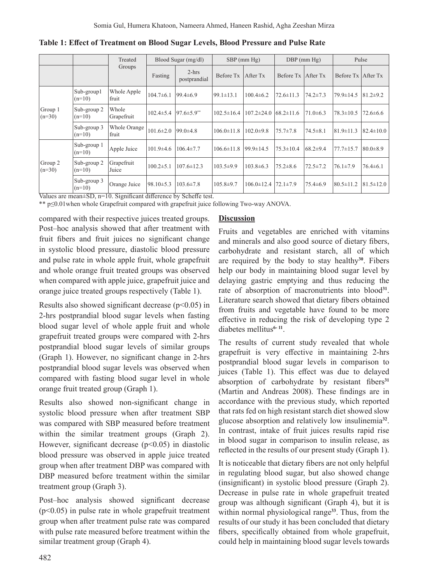|                                |                         | Treated<br>Groups                                              | Blood Sugar (mg/dl)                    |                                    | $SBP$ (mm $Hg$ ) |                  | $DBP$ (mm $Hg$ )   |                | Pulse                |                 |
|--------------------------------|-------------------------|----------------------------------------------------------------|----------------------------------------|------------------------------------|------------------|------------------|--------------------|----------------|----------------------|-----------------|
|                                |                         |                                                                | Fasting                                | $2-hrs$<br>postprandial            | Before Tx        | After Tx         | Before Tx After Tx |                | Before Tx   After Tx |                 |
| Group 1<br>$(n=30)$            | Sub-group1<br>$(n=10)$  | Whole Apple<br>fruit                                           | $104.7\pm 6.1$                         | $99.4 \pm 6.9$                     | $199.1 \pm 13.1$ | $100.4 \pm 6.2$  | $72.6 \pm 11.3$    | $74.2 \pm 7.3$ | 79.9±14.5            | $81.2 + 9.2$    |
|                                | Sub-group 2<br>$(n=10)$ | Whole<br>Grapefruit                                            | $102.4 \pm 5.4$                        | $97.6 \pm 5.9$ **                  | $102.5 \pm 16.4$ | $107.2 \pm 24.0$ | $68.2 \pm 11.6$    | $71.0 \pm 6.3$ | $78.3 \pm 10.5$      | 72.6±6.6        |
|                                | Sub-group 3<br>$(n=10)$ | Whole Orange<br>fruit                                          | $101.6 \pm 2.0$                        | $99.0 \pm 4.8$                     | $106.0 \pm 11.8$ | $102.0 \pm 9.8$  | $75.7 \pm 7.8$     | $74.5 \pm 8.1$ | $81.9 \pm 11.3$      | $82.4 \pm 10.0$ |
| Group 2<br>$(n=30)$<br>$- - -$ | Sub-group 1<br>$(n=10)$ | Apple Juice                                                    | $101.9 \pm 4.6$                        | $106.4 \pm 7.7$                    | $106.6 \pm 11.8$ | $99.9 \pm 14.5$  | $75.3 \pm 10.4$    | $68.2 \pm 9.4$ | $77.7 \pm 15.7$      | $80.0 \pm 8.9$  |
|                                | Sub-group 2<br>$(n=10)$ | Grapefruit<br>Juice                                            | $100.2 \pm 5.1$                        | $107.6 \pm 12.3$                   | $103.5 \pm 9.9$  | $103.8 \pm 6.3$  | $75.2 \pm 8.6$     | $72.5 \pm 7.2$ | $76.1 \pm 7.9$       | $76.4 \pm 6.1$  |
|                                | Sub-group 3<br>$(n=10)$ | Orange Juice<br>$\overline{\cdot}$<br>$\overline{\phantom{a}}$ | $98.10 \pm 5.3$<br>$\overline{\cdots}$ | $103.6 \pm 7.8$<br>$\sim$ 1 $\sim$ | $105.8 \pm 9.7$  | $106.0 \pm 12.4$ | $72.1 \pm 7.9$     | $75.4 \pm 6.9$ | $80.5 \pm 11.2$      | $81.5 \pm 12.0$ |

**Table 1: Effect of Treatment on Blood Sugar Levels, Blood Pressure and Pulse Rate**

Values are mean±SD, n=10. Significant difference by Scheffe test.

\*\* p≤0.01when whole Grapefruit compared with grapefruit juice following Two-way ANOVA.

compared with their respective juices treated groups. Post–hoc analysis showed that after treatment with fruit fibers and fruit juices no significant change in systolic blood pressure, diastolic blood pressure and pulse rate in whole apple fruit, whole grapefruit and whole orange fruit treated groups was observed when compared with apple juice, grapefruit juice and orange juice treated groups respectively (Table 1).

Results also showed significant decrease ( $p<0.05$ ) in 2-hrs postprandial blood sugar levels when fasting blood sugar level of whole apple fruit and whole grapefruit treated groups were compared with 2-hrs postprandial blood sugar levels of similar groups (Graph 1). However, no significant change in 2-hrs postprandial blood sugar levels was observed when compared with fasting blood sugar level in whole orange fruit treated group (Graph 1).

Results also showed non-significant change in systolic blood pressure when after treatment SBP was compared with SBP measured before treatment within the similar treatment groups (Graph 2). However, significant decrease  $(p<0.05)$  in diastolic blood pressure was observed in apple juice treated group when after treatment DBP was compared with DBP measured before treatment within the similar treatment group (Graph 3).

Post–hoc analysis showed significant decrease (p<0.05) in pulse rate in whole grapefruit treatment group when after treatment pulse rate was compared with pulse rate measured before treatment within the similar treatment group (Graph 4).

### **Discussion**

Fruits and vegetables are enriched with vitamins and minerals and also good source of dietary fibers, carbohydrate and resistant starch, all of which are required by the body to stay healthy**<sup>30</sup>**. Fibers help our body in maintaining blood sugar level by delaying gastric emptying and thus reducing the rate of absorption of macronutrients into blood**<sup>31</sup>**. Literature search showed that dietary fibers obtained from fruits and vegetable have found to be more effective in reducing the risk of developing type 2 diabetes mellitus<sup>6-11</sup>.

The results of current study revealed that whole grapefruit is very effective in maintaining 2-hrs postprandial blood sugar levels in comparison to juices (Table 1). This effect was due to delayed absorption of carbohydrate by resistant fibers**<sup>31</sup>** (Martin and Andreas 2008). These findings are in accordance with the previous study, which reported that rats fed on high resistant starch diet showed slow glucose absorption and relatively low insulinemia**<sup>32</sup>**. In contrast, intake of fruit juices results rapid rise in blood sugar in comparison to insulin release, as reflected in the results of our present study (Graph 1).

It is noticeable that dietary fibers are not only helpful in regulating blood sugar, but also showed change (insignificant) in systolic blood pressure (Graph 2). Decrease in pulse rate in whole grapefruit treated group was although significant (Graph 4), but it is within normal physiological range**<sup>33</sup>**. Thus, from the results of our study it has been concluded that dietary fibers, specifically obtained from whole grapefruit, could help in maintaining blood sugar levels towards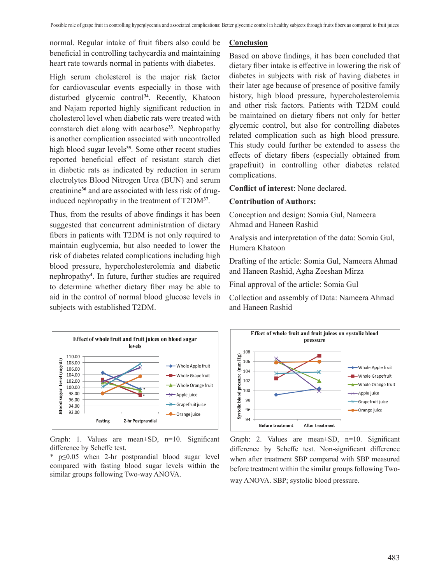normal. Regular intake of fruit fibers also could be beneficial in controlling tachycardia and maintaining heart rate towards normal in patients with diabetes.

High serum cholesterol is the major risk factor for cardiovascular events especially in those with disturbed glycemic control**<sup>34</sup>**. Recently, Khatoon and Najam reported highly significant reduction in cholesterol level when diabetic rats were treated with cornstarch diet along with acarbose**<sup>33</sup>**. Nephropathy is another complication associated with uncontrolled high blood sugar levels**<sup>35</sup>**. Some other recent studies reported beneficial effect of resistant starch diet in diabetic rats as indicated by reduction in serum electrolytes Blood Nitrogen Urea (BUN) and serum creatinine**<sup>36</sup>** and are associated with less risk of druginduced nephropathy in the treatment of T2DM**<sup>37</sup>**.

Thus, from the results of above findings it has been suggested that concurrent administration of dietary fibers in patients with T2DM is not only required to maintain euglycemia, but also needed to lower the risk of diabetes related complications including high blood pressure, hypercholesterolemia and diabetic nephropathy**<sup>4</sup>** . In future, further studies are required to determine whether dietary fiber may be able to aid in the control of normal blood glucose levels in subjects with established T2DM.

### **Conclusion**

Based on above findings, it has been concluded that dietary fiber intake is effective in lowering the risk of diabetes in subjects with risk of having diabetes in their later age because of presence of positive family history, high blood pressure, hypercholesterolemia and other risk factors. Patients with T2DM could be maintained on dietary fibers not only for better glycemic control, but also for controlling diabetes related complication such as high blood pressure. This study could further be extended to assess the effects of dietary fibers (especially obtained from grapefruit) in controlling other diabetes related complications.

**Conflict of interest**: None declared.

### **Contribution of Authors:**

Conception and design: Somia Gul, Nameera Ahmad and Haneen Rashid

Analysis and interpretation of the data: Somia Gul, Humera Khatoon

Drafting of the article: Somia Gul, Nameera Ahmad and Haneen Rashid, Agha Zeeshan Mirza

Final approval of the article: Somia Gul

Collection and assembly of Data: Nameera Ahmad and Haneen Rashid



Graph: 1. Values are mean±SD, n=10. Significant difference by Scheffe test.

\* p≤0.05 when 2-hr postprandial blood sugar level compared with fasting blood sugar levels within the similar groups following Two-way ANOVA.



Graph: 2. Values are mean±SD, n=10. Significant difference by Scheffe test. Non-significant difference when after treatment SBP compared with SBP measured before treatment within the similar groups following Twoway ANOVA. SBP; systolic blood pressure.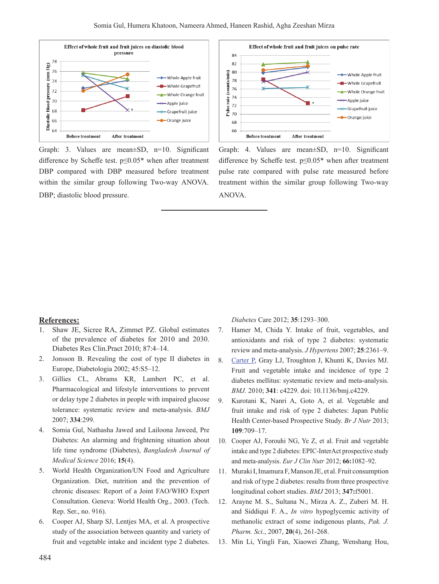

Graph: 3. Values are mean±SD, n=10. Significant difference by Scheffe test. p≤0.05\* when after treatment DBP compared with DBP measured before treatment within the similar group following Two-way ANOVA. DBP; diastolic blood pressure.



Graph: 4. Values are mean±SD, n=10. Significant difference by Scheffe test. p≤0.05\* when after treatment pulse rate compared with pulse rate measured before treatment within the similar group following Two-way ANOVA.

#### **References:**

- 1. Shaw JE, Sicree RA, Zimmet PZ. Global estimates of the prevalence of diabetes for 2010 and 2030. Diabetes Res Clin.Pract 2010; 87:4–14.
- 2. Jonsson B. Revealing the cost of type II diabetes in Europe, Diabetologia 2002; 45:S5–12.
- 3. Gillies CL, Abrams KR, Lambert PC, et al. Pharmacological and lifestyle interventions to prevent or delay type 2 diabetes in people with impaired glucose tolerance: systematic review and meta-analysis. *BMJ* 2007; **334**:299.
- 4. Somia Gul, Nathasha Jawed and Lailoona Jaweed, Pre Diabetes: An alarming and frightening situation about life time syndrome (Diabetes), *Bangladesh Journal of Medical Science* 2016; **15**(4).
- 5. World Health Organization/UN Food and Agriculture Organization. Diet, nutrition and the prevention of chronic diseases: Report of a Joint FAO/WHO Expert Consultation. Geneva: World Health Org., 2003. (Tech. Rep. Ser., no. 916).
- 6. Cooper AJ, Sharp SJ, Lentjes MA, et al. A prospective study of the association between quantity and variety of fruit and vegetable intake and incident type 2 diabetes.

*Diabetes* Care 2012; **35**:1293–300.

- 7. Hamer M, Chida Y. Intake of fruit, vegetables, and antioxidants and risk of type 2 diabetes: systematic review and meta-analysis. *J Hypertens* 2007; **25**:2361–9.
- 8. Carter P, Gray LJ, Troughton J, Khunti K, Davies MJ. Fruit and vegetable intake and incidence of type 2 diabetes mellitus: systematic review and meta-analysis. *BMJ.* 2010; **341**: c4229. doi: 10.1136/bmj.c4229.
- 9. Kurotani K, Nanri A, Goto A, et al. Vegetable and fruit intake and risk of type 2 diabetes: Japan Public Health Center-based Prospective Study. *Br J Nutr* 2013; **109**:709–17.
- 10. Cooper AJ, Forouhi NG, Ye Z, et al. Fruit and vegetable intake and type 2 diabetes: EPIC-InterAct prospective study and meta-analysis. *Eur J Clin Nutr* 2012; **66:**1082–92.
- 11. Muraki I, Imamura F, Manson JE, et al. Fruit consumption and risk of type 2 diabetes: results from three prospective longitudinal cohort studies. *BMJ* 2013; **347:**f5001.
- 12. Arayne M. S., Sultana N., Mirza A. Z., Zuberi M. H. and Siddiqui F. A., *In vitro* hypoglycemic activity of methanolic extract of some indigenous plants, *Pak. J. Pharm. Sci*., 2007, **20**(4), 261-268.
- 13. Min Li, Yingli Fan, Xiaowei Zhang, Wenshang Hou,